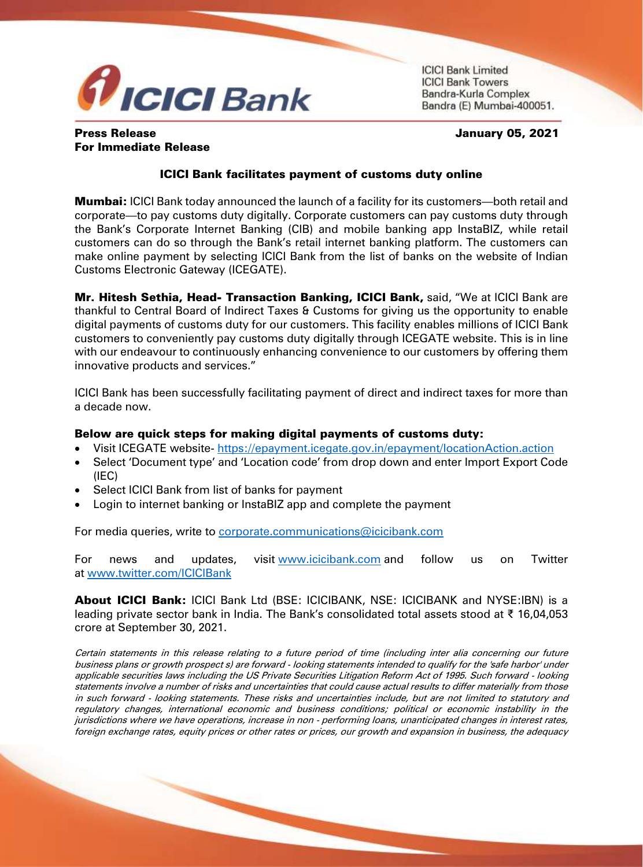

**ICICI Bank Limited ICICI Bank Towers** Bandra-Kurla Complex Bandra (E) Mumbai-400051.

## Press Release January 05, 2021 For Immediate Release

## ICICI Bank facilitates payment of customs duty online

**Mumbai:** ICICI Bank today announced the launch of a facility for its customers—both retail and corporate—to pay customs duty digitally. Corporate customers can pay customs duty through the Bank's Corporate Internet Banking (CIB) and mobile banking app InstaBIZ, while retail customers can do so through the Bank's retail internet banking platform. The customers can make online payment by selecting ICICI Bank from the list of banks on the website of Indian Customs Electronic Gateway (ICEGATE).

Mr. Hitesh Sethia, Head- Transaction Banking, ICICI Bank, said, "We at ICICI Bank are thankful to Central Board of Indirect Taxes & Customs for giving us the opportunity to enable digital payments of customs duty for our customers. This facility enables millions of ICICI Bank customers to conveniently pay customs duty digitally through ICEGATE website. This is in line with our endeavour to continuously enhancing convenience to our customers by offering them innovative products and services."

ICICI Bank has been successfully facilitating payment of direct and indirect taxes for more than a decade now.

## Below are quick steps for making digital payments of customs duty:

- Visit ICEGATE website- [https://epayment.icegate.gov.in/epayment/locationAction.action](https://secure-web.cisco.com/1JAogJYBG32twxOeNwfEuMW-_iMrcRKeNu6Fmiu5BTCZ_c6Ri--ZKXaBHCJqfFumSPmSXIJozu6sNDzQ8gR2l2zSXaJXdqwgZ3-y9yEtWwRExPhYKZr1sHB3qHnc4w_KGEawUE_7EaYENuzmVljbLbW6dYj3dqPSy8dZS-icVkDqCxh0pp0K6aCUa-xpgo1LLM6TdzuRR_aQbVmlgnOz5pxIdpwem0J8EHY96aIr3gMqaKs07-8w410mRDdTY3yGrjRZpvsc8UZi1luu7hqaQy1nbg8wUmKR923swXhY8xKRJroIlzYMga8e2O25sfsCZ/https%3A%2F%2Fepayment.icegate.gov.in%2Fepayment%2FlocationAction.action)
- Select 'Document type' and 'Location code' from drop down and enter Import Export Code (IEC)
- Select ICICI Bank from list of banks for payment
- Login to internet banking or InstaBIZ app and complete the payment

For media queries, write to [corporate.communications@icicibank.com](mailto:corporate.communications@icicibank.com)

For news and updates, visit [www.icicibank.com](https://secure-web.cisco.com/11JPtlxSw2UShSzoSJLFknajgBulqLHKqflBFaBDSVV2XnbOpKepwVFOW2u9ZG9rReNZSvsaeV6Vcr7T37rcMRiLDuepC5I3ArzCyoI2JAiJIn3WHnTZqs2ZgpXdd9bwgiFAggh8M5gn0pQBqTReLcgEUS3J84SG71JnrCgbErID6RcJJQPHofajS9GC5rtqdN4nN-RdQzRZ5xsqmCOcw7BR5H0OnCYpLLuKXjFVVzYB73wHscnwGPux7a8w50DRo79SCToM353tXHURN12BJ6PwfqUN8cKB1t1G0Zsy5umkXDXPs6lV_pJwvmoYJHd1O/https%3A%2F%2Fprotect-eu.mimecast.com%2Fs%2F1awrCMwljS58A2NXSkwh6M%3Fdomain%3Dicicibank.com%2F) and follow us on Twitter at [www.twitter.com/ICICIBank](https://secure-web.cisco.com/11U1Q7ov1x5YD5-SgNzX3BxZ9FJVpjbE36iX9NF6BEWMXbBca6jYwaIyjT0zREPCnFnBn-E3Yt9GugiSDc96sr-bxfHqHbjbzR6bdBIeyvA7AZ2qTKDJEIiAonsb3JKxDuO7AxkwExh7dDBuWQ5vCKI6U1Xyxz3p8iyV4k7fIaYtrPMRTkXmDmmzimTPh2JKoHL3jK-OEfMkQNX8cl9fNhdicfWradyKzWZ_5JO6cjALKv4uLhhTFjas3xV9lOfKOwrNVetNtb8mop1Jui3A-kLBsKKqKJS74u5iXkWAAbUUpPjqtbLlu6UJozj9cku14/https%3A%2F%2Fprotect-eu.mimecast.com%2Fs%2FCu3pCOMn7sAXyNWnfrWBS3%3Fdomain%3Dtwitter.com)

About ICICI Bank: ICICI Bank Ltd (BSE: ICICIBANK, NSE: ICICIBANK and NYSE:IBN) is a leading private sector bank in India. The Bank's consolidated total assets stood at ₹ 16,04,053 crore at September 30, 2021.

Certain statements in this release relating to a future period of time (including inter alia concerning our future business plans or growth prospect s) are forward - looking statements intended to qualify for the 'safe harbor' under applicable securities laws including the US Private Securities Litigation Reform Act of 1995. Such forward - looking statements involve a number of risks and uncertainties that could cause actual results to differ materially from those in such forward - looking statements. These risks and uncertainties include, but are not limited to statutory and regulatory changes, international economic and business conditions; political or economic instability in the jurisdictions where we have operations, increase in non - performing loans, unanticipated changes in interest rates, foreign exchange rates, equity prices or other rates or prices, our growth and expansion in business, the adequacy